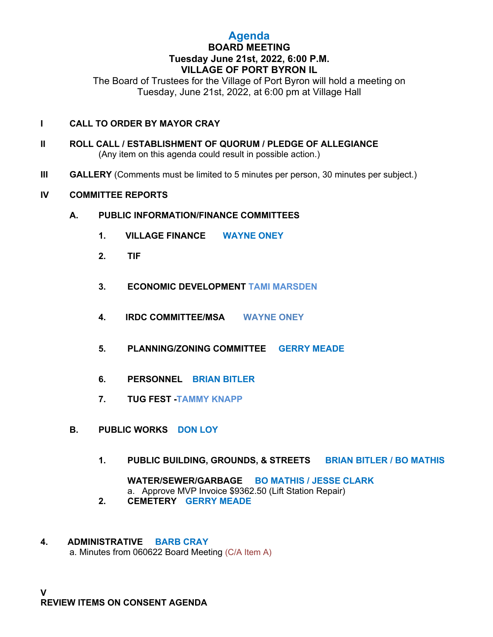## **Agenda BOARD MEETING Tuesday June 21st, 2022, 6:00 P.M. VILLAGE OF PORT BYRON IL**

The Board of Trustees for the Village of Port Byron will hold a meeting on Tuesday, June 21st, 2022, at 6:00 pm at Village Hall

### **I CALL TO ORDER BY MAYOR CRAY**

- **II ROLL CALL / ESTABLISHMENT OF QUORUM / PLEDGE OF ALLEGIANCE** (Any item on this agenda could result in possible action.)
- **III GALLERY** (Comments must be limited to 5 minutes per person, 30 minutes per subject.)

### **IV COMMITTEE REPORTS**

- **A. PUBLIC INFORMATION/FINANCE COMMITTEES**
	- **1. VILLAGE FINANCE WAYNE ONEY**
	- **2. TIF**
	- **3. ECONOMIC DEVELOPMENT TAMI MARSDEN**
	- **4. IRDC COMMITTEE/MSA WAYNE ONEY**
	- **5. PLANNING/ZONING COMMITTEE GERRY MEADE**
	- **6. PERSONNEL BRIAN BITLER**
	- **7. TUG FEST -TAMMY KNAPP**
- **B. PUBLIC WORKS DON LOY**
	- **1. PUBLIC BUILDING, GROUNDS, & STREETS BRIAN BITLER / BO MATHIS**

**WATER/SEWER/GARBAGE BO MATHIS / JESSE CLARK** a. Approve MVP Invoice \$9362.50 (Lift Station Repair)

- **2. CEMETERY GERRY MEADE**
- **4. ADMINISTRATIVE BARB CRAY** a. Minutes from 060622 Board Meeting (C/A Item A)

**V REVIEW ITEMS ON CONSENT AGENDA**